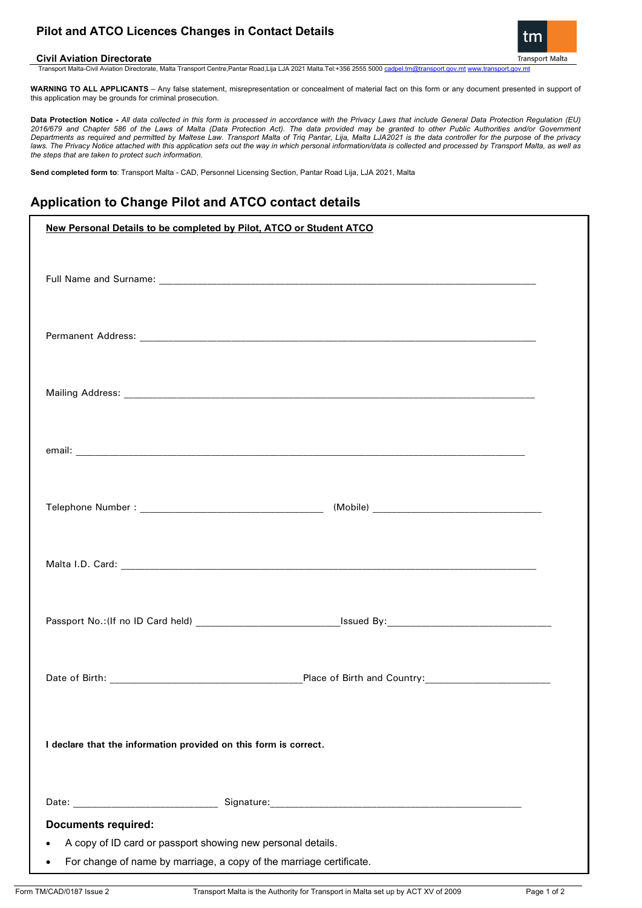# **Pilot and ATCO Licences Changes in Contact Details**



**Civil Aviation Directorate**  Transport Malta-Civil Aviation Directorate, Malta Transport Centre,Pantar Road,Lija LJA 2021 Malta.Tel:+356 2555 5000 [cadpel.tm@transport.gov.mt](mailto:cadpel.tm@transport.gov.mt) [www.transport.gov.mt](http://www.transport.gov.mt/)

**WARNING TO ALL APPLICANTS** – Any false statement, misrepresentation or concealment of material fact on this form or any document presented in support of this application may be grounds for criminal prosecution.

**Data Protection Notice -** *All data collected in this form is processed in accordance with the Privacy Laws that include General Data Protection Regulation (EU) 2016/679 and Chapter 586 of the Laws of Malta (Data Protection Act). The data provided may be granted to other Public Authorities and/or Government Departments as required and permitted by Maltese Law. Transport Malta of Triq Pantar, Lija, Malta LJA2021 is the data controller for the purpose of the privacy laws. The Privacy Notice attached with this application sets out the way in which personal information/data is collected and processed by Transport Malta, as well as the steps that are taken to protect such information.*

**Send completed form to**: Transport Malta - CAD, Personnel Licensing Section, Pantar Road Lija, LJA 2021, Malta

# **Application to Change Pilot and ATCO contact details**

| New Personal Details to be completed by Pilot, ATCO or Student ATCO                                                                             |  |  |
|-------------------------------------------------------------------------------------------------------------------------------------------------|--|--|
|                                                                                                                                                 |  |  |
|                                                                                                                                                 |  |  |
|                                                                                                                                                 |  |  |
|                                                                                                                                                 |  |  |
|                                                                                                                                                 |  |  |
|                                                                                                                                                 |  |  |
|                                                                                                                                                 |  |  |
|                                                                                                                                                 |  |  |
|                                                                                                                                                 |  |  |
|                                                                                                                                                 |  |  |
|                                                                                                                                                 |  |  |
|                                                                                                                                                 |  |  |
|                                                                                                                                                 |  |  |
|                                                                                                                                                 |  |  |
|                                                                                                                                                 |  |  |
|                                                                                                                                                 |  |  |
|                                                                                                                                                 |  |  |
|                                                                                                                                                 |  |  |
|                                                                                                                                                 |  |  |
|                                                                                                                                                 |  |  |
|                                                                                                                                                 |  |  |
| I declare that the information provided on this form is correct.                                                                                |  |  |
|                                                                                                                                                 |  |  |
|                                                                                                                                                 |  |  |
|                                                                                                                                                 |  |  |
| <b>Documents required:</b>                                                                                                                      |  |  |
| A copy of ID card or passport showing new personal details.<br>For change of name by marriage, a copy of the marriage certificate.<br>$\bullet$ |  |  |
|                                                                                                                                                 |  |  |